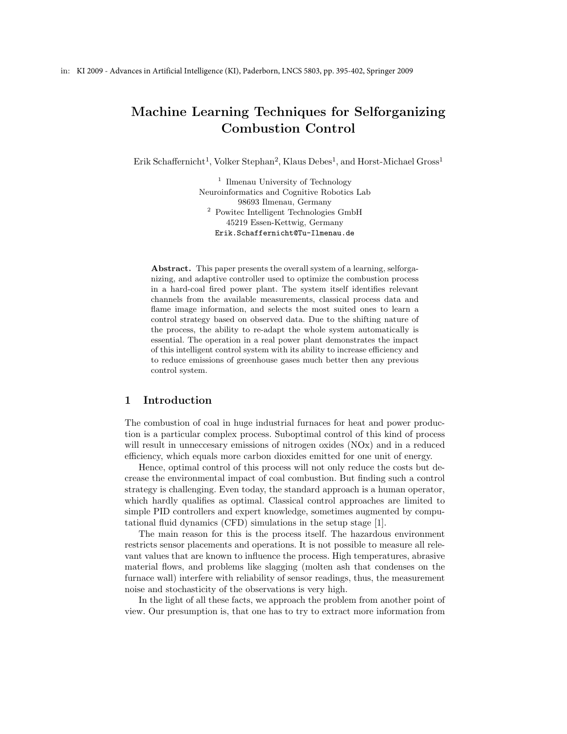# Machine Learning Techniques for Selforganizing Combustion Control

Erik Schaffernicht<sup>1</sup>, Volker Stephan<sup>2</sup>, Klaus Debes<sup>1</sup>, and Horst-Michael Gross<sup>1</sup>

<sup>1</sup> Ilmenau University of Technology Neuroinformatics and Cognitive Robotics Lab 98693 Ilmenau, Germany <sup>2</sup> Powitec Intelligent Technologies GmbH 45219 Essen-Kettwig, Germany Erik.Schaffernicht@Tu-Ilmenau.de

Abstract. This paper presents the overall system of a learning, selforganizing, and adaptive controller used to optimize the combustion process in a hard-coal fired power plant. The system itself identifies relevant channels from the available measurements, classical process data and flame image information, and selects the most suited ones to learn a control strategy based on observed data. Due to the shifting nature of the process, the ability to re-adapt the whole system automatically is essential. The operation in a real power plant demonstrates the impact of this intelligent control system with its ability to increase efficiency and to reduce emissions of greenhouse gases much better then any previous control system.

#### 1 Introduction

The combustion of coal in huge industrial furnaces for heat and power production is a particular complex process. Suboptimal control of this kind of process will result in unneccesary emissions of nitrogen oxides (NOx) and in a reduced efficiency, which equals more carbon dioxides emitted for one unit of energy.

Hence, optimal control of this process will not only reduce the costs but decrease the environmental impact of coal combustion. But finding such a control strategy is challenging. Even today, the standard approach is a human operator, which hardly qualifies as optimal. Classical control approaches are limited to simple PID controllers and expert knowledge, sometimes augmented by computational fluid dynamics (CFD) simulations in the setup stage [1].

The main reason for this is the process itself. The hazardous environment restricts sensor placements and operations. It is not possible to measure all relevant values that are known to influence the process. High temperatures, abrasive material flows, and problems like slagging (molten ash that condenses on the furnace wall) interfere with reliability of sensor readings, thus, the measurement noise and stochasticity of the observations is very high.

In the light of all these facts, we approach the problem from another point of view. Our presumption is, that one has to try to extract more information from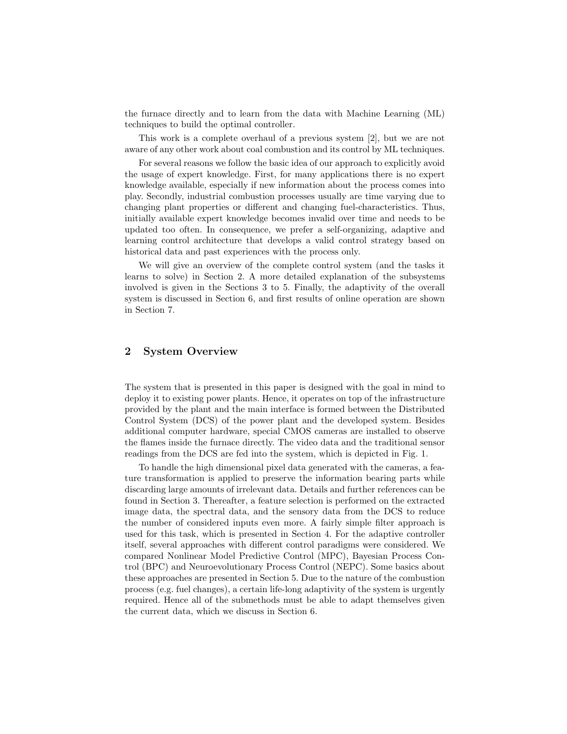the furnace directly and to learn from the data with Machine Learning (ML) techniques to build the optimal controller.

This work is a complete overhaul of a previous system [2], but we are not aware of any other work about coal combustion and its control by ML techniques.

For several reasons we follow the basic idea of our approach to explicitly avoid the usage of expert knowledge. First, for many applications there is no expert knowledge available, especially if new information about the process comes into play. Secondly, industrial combustion processes usually are time varying due to changing plant properties or different and changing fuel-characteristics. Thus, initially available expert knowledge becomes invalid over time and needs to be updated too often. In consequence, we prefer a self-organizing, adaptive and learning control architecture that develops a valid control strategy based on historical data and past experiences with the process only.

We will give an overview of the complete control system (and the tasks it learns to solve) in Section 2. A more detailed explanation of the subsystems involved is given in the Sections 3 to 5. Finally, the adaptivity of the overall system is discussed in Section 6, and first results of online operation are shown in Section 7.

## 2 System Overview

The system that is presented in this paper is designed with the goal in mind to deploy it to existing power plants. Hence, it operates on top of the infrastructure provided by the plant and the main interface is formed between the Distributed Control System (DCS) of the power plant and the developed system. Besides additional computer hardware, special CMOS cameras are installed to observe the flames inside the furnace directly. The video data and the traditional sensor readings from the DCS are fed into the system, which is depicted in Fig. 1.

To handle the high dimensional pixel data generated with the cameras, a feature transformation is applied to preserve the information bearing parts while discarding large amounts of irrelevant data. Details and further references can be found in Section 3. Thereafter, a feature selection is performed on the extracted image data, the spectral data, and the sensory data from the DCS to reduce the number of considered inputs even more. A fairly simple filter approach is used for this task, which is presented in Section 4. For the adaptive controller itself, several approaches with different control paradigms were considered. We compared Nonlinear Model Predictive Control (MPC), Bayesian Process Control (BPC) and Neuroevolutionary Process Control (NEPC). Some basics about these approaches are presented in Section 5. Due to the nature of the combustion process (e.g. fuel changes), a certain life-long adaptivity of the system is urgently required. Hence all of the submethods must be able to adapt themselves given the current data, which we discuss in Section 6.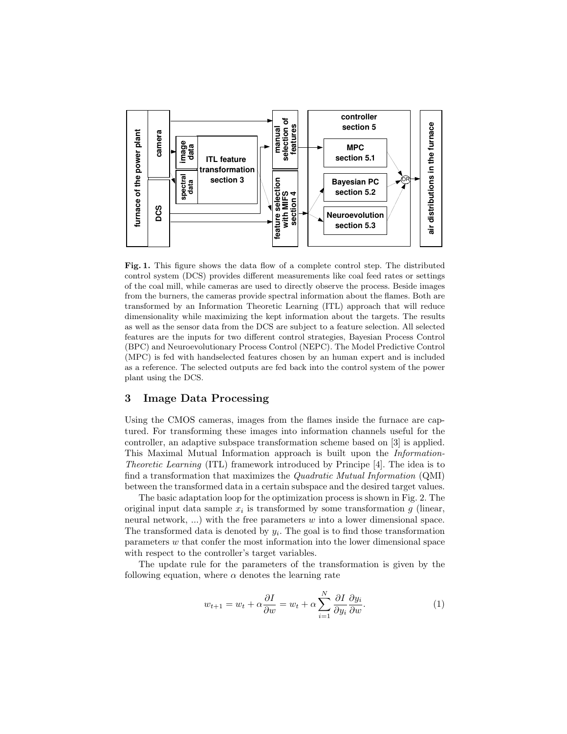

Fig. 1. This figure shows the data flow of a complete control step. The distributed control system (DCS) provides different measurements like coal feed rates or settings of the coal mill, while cameras are used to directly observe the process. Beside images from the burners, the cameras provide spectral information about the flames. Both are transformed by an Information Theoretic Learning (ITL) approach that will reduce dimensionality while maximizing the kept information about the targets. The results as well as the sensor data from the DCS are subject to a feature selection. All selected features are the inputs for two different control strategies, Bayesian Process Control (BPC) and Neuroevolutionary Process Control (NEPC). The Model Predictive Control (MPC) is fed with handselected features chosen by an human expert and is included as a reference. The selected outputs are fed back into the control system of the power plant using the DCS.

## 3 Image Data Processing

Using the CMOS cameras, images from the flames inside the furnace are captured. For transforming these images into information channels useful for the controller, an adaptive subspace transformation scheme based on [3] is applied. This Maximal Mutual Information approach is built upon the Information-Theoretic Learning (ITL) framework introduced by Principe [4]. The idea is to find a transformation that maximizes the Quadratic Mutual Information (QMI) between the transformed data in a certain subspace and the desired target values.

The basic adaptation loop for the optimization process is shown in Fig. 2. The original input data sample  $x_i$  is transformed by some transformation  $g$  (linear, neural network, ...) with the free parameters  $w$  into a lower dimensional space. The transformed data is denoted by  $y_i$ . The goal is to find those transformation parameters w that confer the most information into the lower dimensional space with respect to the controller's target variables.

The update rule for the parameters of the transformation is given by the following equation, where  $\alpha$  denotes the learning rate

$$
w_{t+1} = w_t + \alpha \frac{\partial I}{\partial w} = w_t + \alpha \sum_{i=1}^{N} \frac{\partial I}{\partial y_i} \frac{\partial y_i}{\partial w}.
$$
 (1)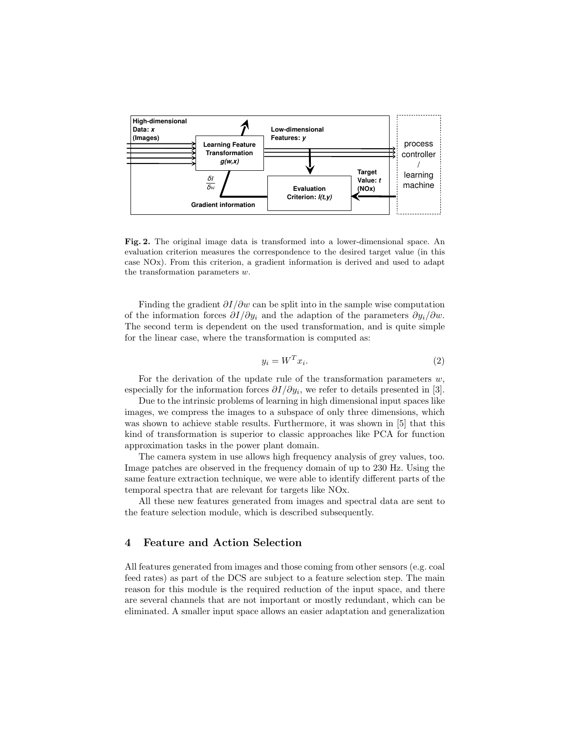

Fig. 2. The original image data is transformed into a lower-dimensional space. An evaluation criterion measures the correspondence to the desired target value (in this case NOx). From this criterion, a gradient information is derived and used to adapt the transformation parameters w.

Finding the gradient  $\partial I/\partial w$  can be split into in the sample wise computation of the information forces  $\partial I/\partial y_i$  and the adaption of the parameters  $\partial y_i/\partial w$ . The second term is dependent on the used transformation, and is quite simple for the linear case, where the transformation is computed as:

$$
y_i = W^T x_i. \tag{2}
$$

For the derivation of the update rule of the transformation parameters  $w$ , especially for the information forces  $\partial I/\partial y_i$ , we refer to details presented in [3].

Due to the intrinsic problems of learning in high dimensional input spaces like images, we compress the images to a subspace of only three dimensions, which was shown to achieve stable results. Furthermore, it was shown in [5] that this kind of transformation is superior to classic approaches like PCA for function approximation tasks in the power plant domain.

The camera system in use allows high frequency analysis of grey values, too. Image patches are observed in the frequency domain of up to 230 Hz. Using the same feature extraction technique, we were able to identify different parts of the temporal spectra that are relevant for targets like NOx.

All these new features generated from images and spectral data are sent to the feature selection module, which is described subsequently.

# 4 Feature and Action Selection

All features generated from images and those coming from other sensors (e.g. coal feed rates) as part of the DCS are subject to a feature selection step. The main reason for this module is the required reduction of the input space, and there are several channels that are not important or mostly redundant, which can be eliminated. A smaller input space allows an easier adaptation and generalization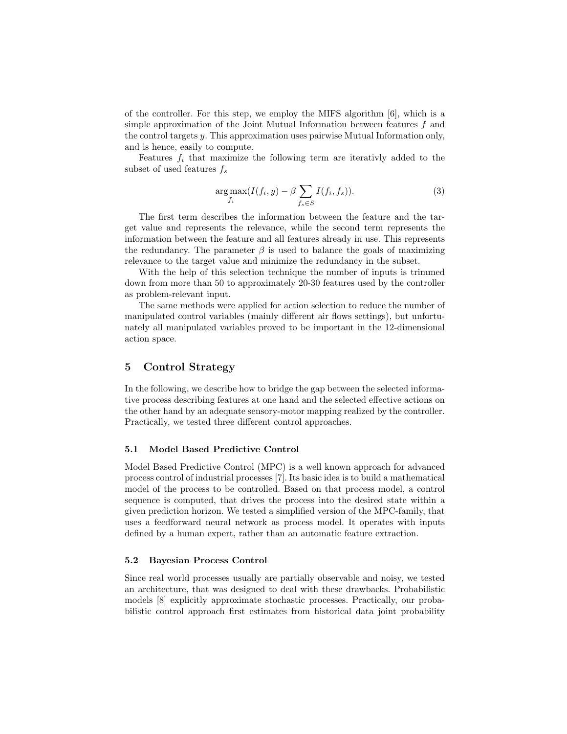of the controller. For this step, we employ the MIFS algorithm [6], which is a simple approximation of the Joint Mutual Information between features  $f$  and the control targets y. This approximation uses pairwise Mutual Information only, and is hence, easily to compute.

Features  $f_i$  that maximize the following term are iterativly added to the subset of used features  $f_s$ 

$$
\underset{f_i}{\arg \max} (I(f_i, y) - \beta \sum_{f_s \in S} I(f_i, f_s)). \tag{3}
$$

The first term describes the information between the feature and the target value and represents the relevance, while the second term represents the information between the feature and all features already in use. This represents the redundancy. The parameter  $\beta$  is used to balance the goals of maximizing relevance to the target value and minimize the redundancy in the subset.

With the help of this selection technique the number of inputs is trimmed down from more than 50 to approximately 20-30 features used by the controller as problem-relevant input.

The same methods were applied for action selection to reduce the number of manipulated control variables (mainly different air flows settings), but unfortunately all manipulated variables proved to be important in the 12-dimensional action space.

## 5 Control Strategy

In the following, we describe how to bridge the gap between the selected informative process describing features at one hand and the selected effective actions on the other hand by an adequate sensory-motor mapping realized by the controller. Practically, we tested three different control approaches.

#### 5.1 Model Based Predictive Control

Model Based Predictive Control (MPC) is a well known approach for advanced process control of industrial processes [7]. Its basic idea is to build a mathematical model of the process to be controlled. Based on that process model, a control sequence is computed, that drives the process into the desired state within a given prediction horizon. We tested a simplified version of the MPC-family, that uses a feedforward neural network as process model. It operates with inputs defined by a human expert, rather than an automatic feature extraction.

#### 5.2 Bayesian Process Control

Since real world processes usually are partially observable and noisy, we tested an architecture, that was designed to deal with these drawbacks. Probabilistic models [8] explicitly approximate stochastic processes. Practically, our probabilistic control approach first estimates from historical data joint probability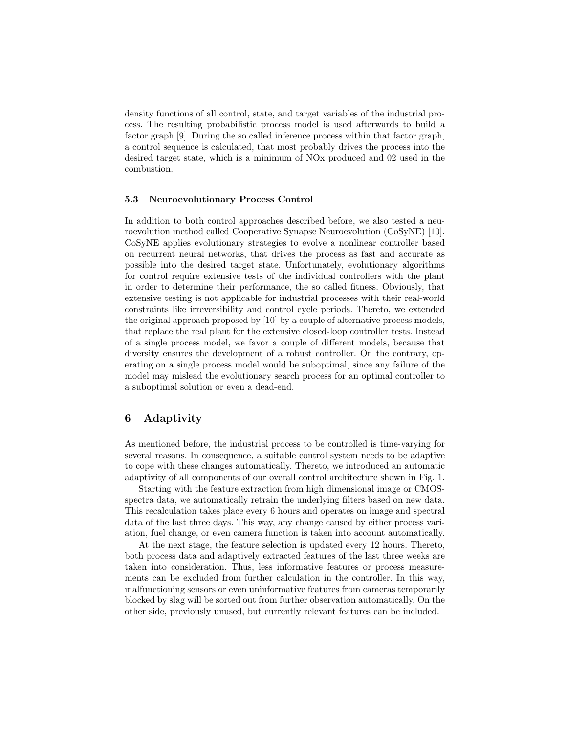density functions of all control, state, and target variables of the industrial process. The resulting probabilistic process model is used afterwards to build a factor graph [9]. During the so called inference process within that factor graph, a control sequence is calculated, that most probably drives the process into the desired target state, which is a minimum of NOx produced and 02 used in the combustion.

#### 5.3 Neuroevolutionary Process Control

In addition to both control approaches described before, we also tested a neuroevolution method called Cooperative Synapse Neuroevolution (CoSyNE) [10]. CoSyNE applies evolutionary strategies to evolve a nonlinear controller based on recurrent neural networks, that drives the process as fast and accurate as possible into the desired target state. Unfortunately, evolutionary algorithms for control require extensive tests of the individual controllers with the plant in order to determine their performance, the so called fitness. Obviously, that extensive testing is not applicable for industrial processes with their real-world constraints like irreversibility and control cycle periods. Thereto, we extended the original approach proposed by [10] by a couple of alternative process models, that replace the real plant for the extensive closed-loop controller tests. Instead of a single process model, we favor a couple of different models, because that diversity ensures the development of a robust controller. On the contrary, operating on a single process model would be suboptimal, since any failure of the model may mislead the evolutionary search process for an optimal controller to a suboptimal solution or even a dead-end.

# 6 Adaptivity

As mentioned before, the industrial process to be controlled is time-varying for several reasons. In consequence, a suitable control system needs to be adaptive to cope with these changes automatically. Thereto, we introduced an automatic adaptivity of all components of our overall control architecture shown in Fig. 1.

Starting with the feature extraction from high dimensional image or CMOSspectra data, we automatically retrain the underlying filters based on new data. This recalculation takes place every 6 hours and operates on image and spectral data of the last three days. This way, any change caused by either process variation, fuel change, or even camera function is taken into account automatically.

At the next stage, the feature selection is updated every 12 hours. Thereto, both process data and adaptively extracted features of the last three weeks are taken into consideration. Thus, less informative features or process measurements can be excluded from further calculation in the controller. In this way, malfunctioning sensors or even uninformative features from cameras temporarily blocked by slag will be sorted out from further observation automatically. On the other side, previously unused, but currently relevant features can be included.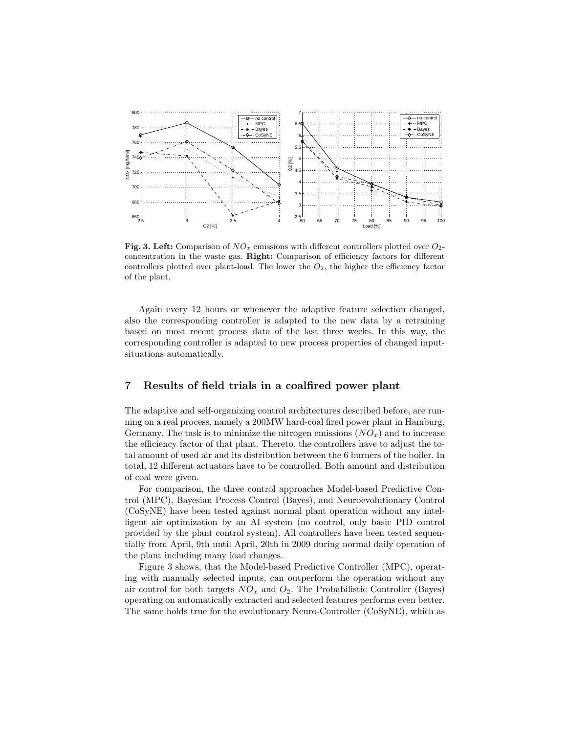

Fig. 3. Left: Comparison of  $NO_x$  emissions with different controllers plotted over  $O_2$ concentration in the waste gas. Right: Comparison of efficiency factors for different controllers plotted over plant-load. The lower the  $O_2$ , the higher the efficiency factor of the plant.

Again every 12 hours or whenever the adaptive feature selection changed, also the corresponding controller is adapted to the new data by a retraining based on most recent process data of the last three weeks. In this way, the corresponding controller is adapted to new process properties of changed inputsituations automatically.

### 7 Results of field trials in a coalfired power plant

The adaptive and self-organizing control architectures described before, are running on a real process, namely a 200MW hard-coal fired power plant in Hamburg, Germany. The task is to minimize the nitrogen emissions  $(NO<sub>x</sub>)$  and to increase the efficiency factor of that plant. Thereto, the controllers have to adjust the total amount of used air and its distribution between the 6 burners of the boiler. In total, 12 different actuators have to be controlled. Both amount and distribution of coal were given.

For comparison, the three control approaches Model-based Predictive Control (MPC), Bayesian Process Control (Bayes), and Neuroevolutionary Control (CoSyNE) have been tested against normal plant operation without any intelligent air optimization by an AI system (no control, only basic PID control provided by the plant control system). All controllers have been tested sequentially from April, 9th until April, 20th in 2009 during normal daily operation of the plant including many load changes.

Figure 3 shows, that the Model-based Predictive Controller (MPC), operating with manually selected inputs, can outperform the operation without any air control for both targets  $NO_x$  and  $O_2$ . The Probabilistic Controller (Bayes) operating on automatically extracted and selected features performs even better. The same holds true for the evolutionary Neuro-Controller (CoSyNE), which as